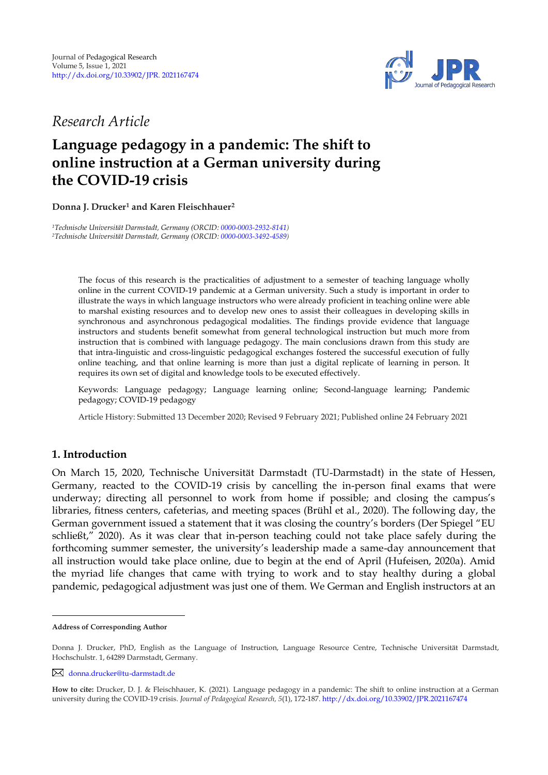

*Research Article* 

# **Language pedagogy in a pandemic: The shift to online instruction at a German university during the COVID-19 crisis**

**Donna J. Drucker<sup>1</sup> and Karen Fleischhauer 2 1**

*<sup>1</sup>Technische Universität Darmstadt, Germany (ORCID[: 0000-0003-2932-8141\)](https://orcid.org/0000-0003-2932-8141) <sup>2</sup>Technische Universität Darmstadt, Germany (ORCID[: 0000-0003-3492-4589\)](https://orcid.org/0000-0003-3492-4589)*

> The focus of this research is the practicalities of adjustment to a semester of teaching language wholly online in the current COVID-19 pandemic at a German university. Such a study is important in order to illustrate the ways in which language instructors who were already proficient in teaching online were able to marshal existing resources and to develop new ones to assist their colleagues in developing skills in synchronous and asynchronous pedagogical modalities. The findings provide evidence that language instructors and students benefit somewhat from general technological instruction but much more from instruction that is combined with language pedagogy. The main conclusions drawn from this study are that intra-linguistic and cross-linguistic pedagogical exchanges fostered the successful execution of fully online teaching, and that online learning is more than just a digital replicate of learning in person. It requires its own set of digital and knowledge tools to be executed effectively.

> Keywords: Language pedagogy; Language learning online; Second-language learning; Pandemic pedagogy; COVID-19 pedagogy

> Article History: Submitted 13 December 2020; Revised 9 February 2021; Published online 24 February 2021

# **1. Introduction**

On March 15, 2020, Technische Universität Darmstadt (TU-Darmstadt) in the state of Hessen, Germany, reacted to the COVID-19 crisis by cancelling the in-person final exams that were underway; directing all personnel to work from home if possible; and closing the campus's libraries, fitness centers, cafeterias, and meeting spaces (Brühl et al., 2020). The following day, the German government issued a statement that it was closing the country's borders (Der Spiegel "EU schließt," 2020). As it was clear that in-person teaching could not take place safely during the forthcoming summer semester, the university's leadership made a same-day announcement that all instruction would take place online, due to begin at the end of April (Hufeisen, 2020a). Amid the myriad life changes that came with trying to work and to stay healthy during a global pandemic, pedagogical adjustment was just one of them. We German and English instructors at an

**Address of Corresponding Author**

Donna J. Drucker, PhD, English as the Language of Instruction, Language Resource Centre, Technische Universität Darmstadt, Hochschulstr. 1, 64289 Darmstadt, Germany.

[donna.drucker@tu-darmstadt.de](mailto:donna.drucker@tu-darmstadt.de)

**How to cite:** Drucker, D. J. & Fleischhauer, K. (2021). Language pedagogy in a pandemic: The shift to online instruction at a German university during the COVID-19 crisis. *Journal of Pedagogical Research, 5*(1), 172-187. <http://dx.doi.org/10.33902/JPR.2021167474>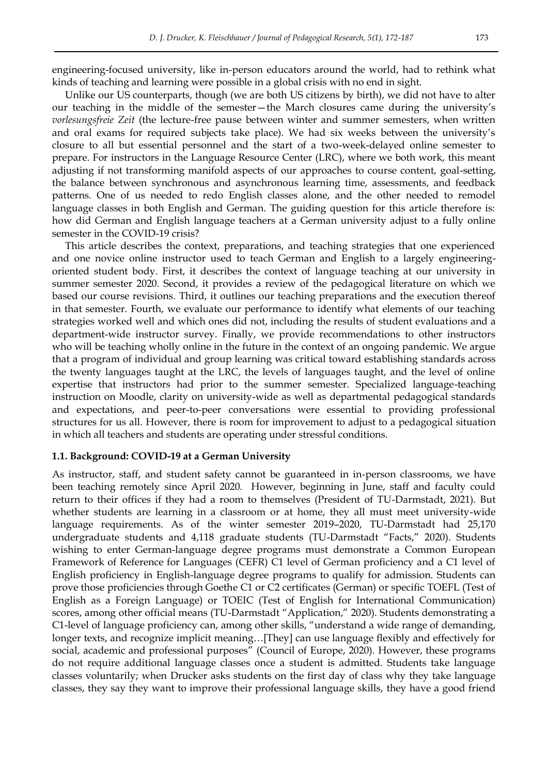engineering-focused university, like in-person educators around the world, had to rethink what kinds of teaching and learning were possible in a global crisis with no end in sight.

Unlike our US counterparts, though (we are both US citizens by birth), we did not have to alter our teaching in the middle of the semester—the March closures came during the university's *vorlesungsfreie Zeit* (the lecture-free pause between winter and summer semesters, when written and oral exams for required subjects take place). We had six weeks between the university's closure to all but essential personnel and the start of a two-week-delayed online semester to prepare. For instructors in the Language Resource Center (LRC), where we both work, this meant adjusting if not transforming manifold aspects of our approaches to course content, goal-setting, the balance between synchronous and asynchronous learning time, assessments, and feedback patterns. One of us needed to redo English classes alone, and the other needed to remodel language classes in both English and German. The guiding question for this article therefore is: how did German and English language teachers at a German university adjust to a fully online semester in the COVID-19 crisis?

This article describes the context, preparations, and teaching strategies that one experienced and one novice online instructor used to teach German and English to a largely engineeringoriented student body. First, it describes the context of language teaching at our university in summer semester 2020. Second, it provides a review of the pedagogical literature on which we based our course revisions. Third, it outlines our teaching preparations and the execution thereof in that semester. Fourth, we evaluate our performance to identify what elements of our teaching strategies worked well and which ones did not, including the results of student evaluations and a department-wide instructor survey. Finally, we provide recommendations to other instructors who will be teaching wholly online in the future in the context of an ongoing pandemic. We argue that a program of individual and group learning was critical toward establishing standards across the twenty languages taught at the LRC, the levels of languages taught, and the level of online expertise that instructors had prior to the summer semester. Specialized language-teaching instruction on Moodle, clarity on university-wide as well as departmental pedagogical standards and expectations, and peer-to-peer conversations were essential to providing professional structures for us all. However, there is room for improvement to adjust to a pedagogical situation in which all teachers and students are operating under stressful conditions.

#### **1.1. Background: COVID-19 at a German University**

As instructor, staff, and student safety cannot be guaranteed in in-person classrooms, we have been teaching remotely since April 2020. However, beginning in June, staff and faculty could return to their offices if they had a room to themselves (President of TU-Darmstadt, 2021). But whether students are learning in a classroom or at home, they all must meet university-wide language requirements. As of the winter semester 2019–2020, TU-Darmstadt had 25,170 undergraduate students and 4,118 graduate students (TU-Darmstadt "Facts," 2020). Students wishing to enter German-language degree programs must demonstrate a Common European Framework of Reference for Languages (CEFR) C1 level of German proficiency and a C1 level of English proficiency in English-language degree programs to qualify for admission. Students can prove those proficiencies through Goethe C1 or C2 certificates (German) or specific TOEFL (Test of English as a Foreign Language) or TOEIC (Test of English for International Communication) scores, among other official means (TU-Darmstadt "Application," 2020). Students demonstrating a C1-level of language proficiency can, among other skills, "understand a wide range of demanding, longer texts, and recognize implicit meaning…[They] can use language flexibly and effectively for social, academic and professional purposes" (Council of Europe, 2020). However, these programs do not require additional language classes once a student is admitted. Students take language classes voluntarily; when Drucker asks students on the first day of class why they take language classes, they say they want to improve their professional language skills, they have a good friend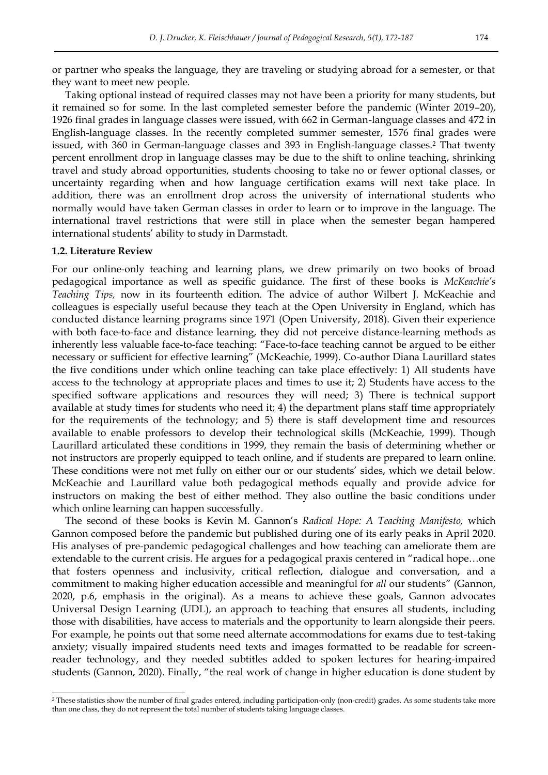or partner who speaks the language, they are traveling or studying abroad for a semester, or that they want to meet new people.

Taking optional instead of required classes may not have been a priority for many students, but it remained so for some. In the last completed semester before the pandemic (Winter 2019–20), 1926 final grades in language classes were issued, with 662 in German-language classes and 472 in English-language classes. In the recently completed summer semester, 1576 final grades were issued, with 360 in German-language classes and 393 in English-language classes.2 That twenty percent enrollment drop in language classes may be due to the shift to online teaching, shrinking travel and study abroad opportunities, students choosing to take no or fewer optional classes, or uncertainty regarding when and how language certification exams will next take place. In addition, there was an enrollment drop across the university of international students who normally would have taken German classes in order to learn or to improve in the language. The international travel restrictions that were still in place when the semester began hampered international students' ability to study in Darmstadt.

#### **1.2. Literature Review**

-

For our online-only teaching and learning plans, we drew primarily on two books of broad pedagogical importance as well as specific guidance. The first of these books is *McKeachie's Teaching Tips,* now in its fourteenth edition. The advice of author Wilbert J. McKeachie and colleagues is especially useful because they teach at the Open University in England, which has conducted distance learning programs since 1971 (Open University, 2018). Given their experience with both face-to-face and distance learning, they did not perceive distance-learning methods as inherently less valuable face-to-face teaching: "Face-to-face teaching cannot be argued to be either necessary or sufficient for effective learning" (McKeachie, 1999). Co-author Diana Laurillard states the five conditions under which online teaching can take place effectively: 1) All students have access to the technology at appropriate places and times to use it; 2) Students have access to the specified software applications and resources they will need; 3) There is technical support available at study times for students who need it; 4) the department plans staff time appropriately for the requirements of the technology; and 5) there is staff development time and resources available to enable professors to develop their technological skills (McKeachie, 1999). Though Laurillard articulated these conditions in 1999, they remain the basis of determining whether or not instructors are properly equipped to teach online, and if students are prepared to learn online. These conditions were not met fully on either our or our students' sides, which we detail below. McKeachie and Laurillard value both pedagogical methods equally and provide advice for instructors on making the best of either method. They also outline the basic conditions under which online learning can happen successfully.

The second of these books is Kevin M. Gannon's *Radical Hope: A Teaching Manifesto,* which Gannon composed before the pandemic but published during one of its early peaks in April 2020. His analyses of pre-pandemic pedagogical challenges and how teaching can ameliorate them are extendable to the current crisis. He argues for a pedagogical praxis centered in "radical hope...one that fosters openness and inclusivity, critical reflection, dialogue and conversation, and a commitment to making higher education accessible and meaningful for *all* our students‖ (Gannon, 2020, p.6, emphasis in the original). As a means to achieve these goals, Gannon advocates Universal Design Learning (UDL), an approach to teaching that ensures all students, including those with disabilities, have access to materials and the opportunity to learn alongside their peers. For example, he points out that some need alternate accommodations for exams due to test-taking anxiety; visually impaired students need texts and images formatted to be readable for screenreader technology, and they needed subtitles added to spoken lectures for hearing-impaired students (Gannon, 2020). Finally, "the real work of change in higher education is done student by

<sup>2</sup> These statistics show the number of final grades entered, including participation-only (non-credit) grades. As some students take more than one class, they do not represent the total number of students taking language classes.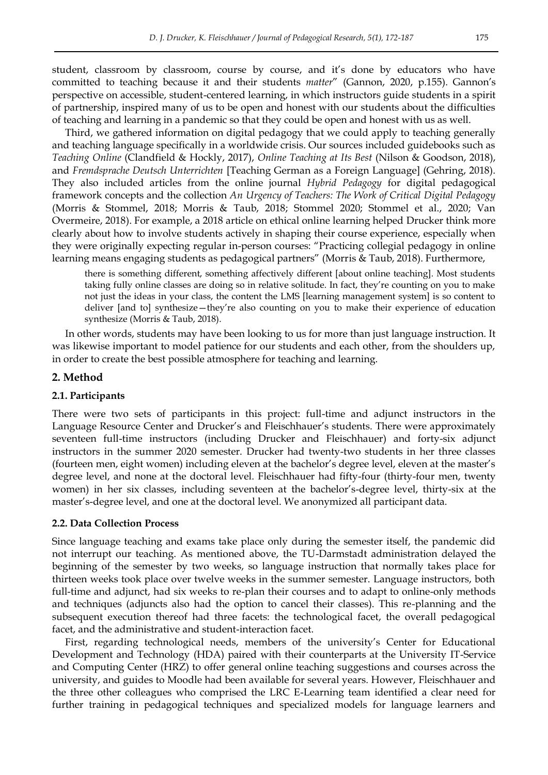student, classroom by classroom, course by course, and it's done by educators who have committed to teaching because it and their students *matter"* (Gannon, 2020, p.155). Gannon's perspective on accessible, student-centered learning, in which instructors guide students in a spirit of partnership, inspired many of us to be open and honest with our students about the difficulties of teaching and learning in a pandemic so that they could be open and honest with us as well.

Third, we gathered information on digital pedagogy that we could apply to teaching generally and teaching language specifically in a worldwide crisis. Our sources included guidebooks such as *Teaching Online* (Clandfield & Hockly, 2017), *Online Teaching at Its Best* (Nilson & Goodson, 2018), and *Fremdsprache Deutsch Unterrichten* [Teaching German as a Foreign Language] (Gehring, 2018). They also included articles from the online journal *Hybrid Pedagogy* for digital pedagogical framework concepts and the collection *An Urgency of Teachers: The Work of Critical Digital Pedagogy* (Morris & Stommel, 2018; Morris & Taub, 2018; Stommel 2020; Stommel et al., 2020; Van Overmeire, 2018). For example, a 2018 article on ethical online learning helped Drucker think more clearly about how to involve students actively in shaping their course experience, especially when they were originally expecting regular in-person courses: "Practicing collegial pedagogy in online learning means engaging students as pedagogical partners" (Morris & Taub, 2018). Furthermore,

there is something different, something affectively different [about online teaching]. Most students taking fully online classes are doing so in relative solitude. In fact, they're counting on you to make not just the ideas in your class, the content the LMS [learning management system] is so content to deliver [and to] synthesize—they're also counting on you to make their experience of education synthesize (Morris & Taub, 2018).

In other words, students may have been looking to us for more than just language instruction. It was likewise important to model patience for our students and each other, from the shoulders up, in order to create the best possible atmosphere for teaching and learning.

## **2. Method**

#### **2.1. Participants**

There were two sets of participants in this project: full-time and adjunct instructors in the Language Resource Center and Drucker's and Fleischhauer's students. There were approximately seventeen full-time instructors (including Drucker and Fleischhauer) and forty-six adjunct instructors in the summer 2020 semester. Drucker had twenty-two students in her three classes (fourteen men, eight women) including eleven at the bachelor's degree level, eleven at the master's degree level, and none at the doctoral level. Fleischhauer had fifty-four (thirty-four men, twenty women) in her six classes, including seventeen at the bachelor's-degree level, thirty-six at the master's-degree level, and one at the doctoral level. We anonymized all participant data.

#### **2.2. Data Collection Process**

Since language teaching and exams take place only during the semester itself, the pandemic did not interrupt our teaching. As mentioned above, the TU-Darmstadt administration delayed the beginning of the semester by two weeks, so language instruction that normally takes place for thirteen weeks took place over twelve weeks in the summer semester. Language instructors, both full-time and adjunct, had six weeks to re-plan their courses and to adapt to online-only methods and techniques (adjuncts also had the option to cancel their classes). This re-planning and the subsequent execution thereof had three facets: the technological facet, the overall pedagogical facet, and the administrative and student-interaction facet.

First, regarding technological needs, members of the university's Center for Educational Development and Technology (HDA) paired with their counterparts at the University IT-Service and Computing Center (HRZ) to offer general online teaching suggestions and courses across the university, and guides to Moodle had been available for several years. However, Fleischhauer and the three other colleagues who comprised the LRC E-Learning team identified a clear need for further training in pedagogical techniques and specialized models for language learners and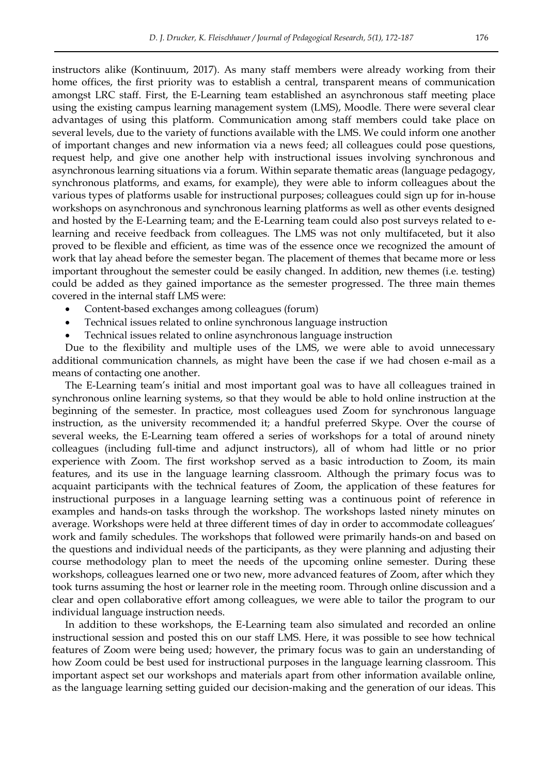instructors alike (Kontinuum, 2017). As many staff members were already working from their home offices, the first priority was to establish a central, transparent means of communication amongst LRC staff. First, the E-Learning team established an asynchronous staff meeting place using the existing campus learning management system (LMS), Moodle. There were several clear advantages of using this platform. Communication among staff members could take place on several levels, due to the variety of functions available with the LMS. We could inform one another of important changes and new information via a news feed; all colleagues could pose questions, request help, and give one another help with instructional issues involving synchronous and asynchronous learning situations via a forum. Within separate thematic areas (language pedagogy, synchronous platforms, and exams, for example), they were able to inform colleagues about the various types of platforms usable for instructional purposes; colleagues could sign up for in-house workshops on asynchronous and synchronous learning platforms as well as other events designed and hosted by the E-Learning team; and the E-Learning team could also post surveys related to elearning and receive feedback from colleagues. The LMS was not only multifaceted, but it also proved to be flexible and efficient, as time was of the essence once we recognized the amount of work that lay ahead before the semester began. The placement of themes that became more or less important throughout the semester could be easily changed. In addition, new themes (i.e. testing) could be added as they gained importance as the semester progressed. The three main themes covered in the internal staff LMS were:

- Content-based exchanges among colleagues (forum)
- Technical issues related to online synchronous language instruction
- Technical issues related to online asynchronous language instruction

Due to the flexibility and multiple uses of the LMS, we were able to avoid unnecessary additional communication channels, as might have been the case if we had chosen e-mail as a means of contacting one another.

The E-Learning team's initial and most important goal was to have all colleagues trained in synchronous online learning systems, so that they would be able to hold online instruction at the beginning of the semester. In practice, most colleagues used Zoom for synchronous language instruction, as the university recommended it; a handful preferred Skype. Over the course of several weeks, the E-Learning team offered a series of workshops for a total of around ninety colleagues (including full-time and adjunct instructors), all of whom had little or no prior experience with Zoom. The first workshop served as a basic introduction to Zoom, its main features, and its use in the language learning classroom. Although the primary focus was to acquaint participants with the technical features of Zoom, the application of these features for instructional purposes in a language learning setting was a continuous point of reference in examples and hands-on tasks through the workshop. The workshops lasted ninety minutes on average. Workshops were held at three different times of day in order to accommodate colleagues' work and family schedules. The workshops that followed were primarily hands-on and based on the questions and individual needs of the participants, as they were planning and adjusting their course methodology plan to meet the needs of the upcoming online semester. During these workshops, colleagues learned one or two new, more advanced features of Zoom, after which they took turns assuming the host or learner role in the meeting room. Through online discussion and a clear and open collaborative effort among colleagues, we were able to tailor the program to our individual language instruction needs.

In addition to these workshops, the E-Learning team also simulated and recorded an online instructional session and posted this on our staff LMS. Here, it was possible to see how technical features of Zoom were being used; however, the primary focus was to gain an understanding of how Zoom could be best used for instructional purposes in the language learning classroom. This important aspect set our workshops and materials apart from other information available online, as the language learning setting guided our decision-making and the generation of our ideas. This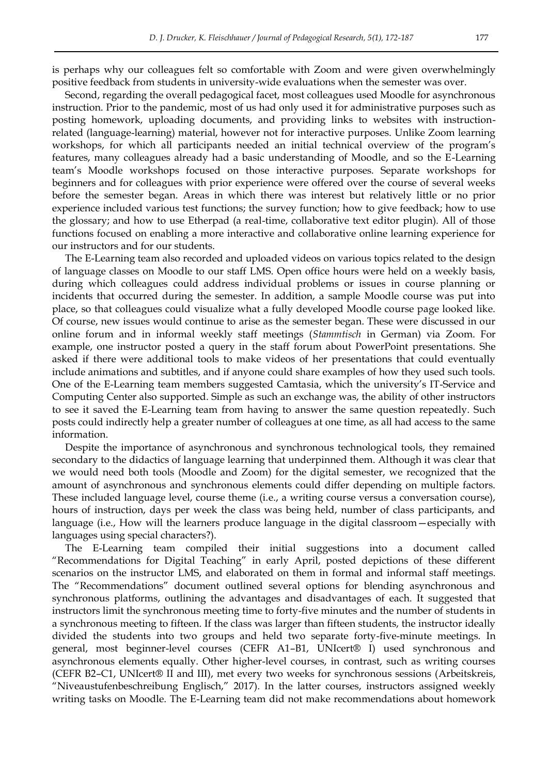is perhaps why our colleagues felt so comfortable with Zoom and were given overwhelmingly positive feedback from students in university-wide evaluations when the semester was over.

Second, regarding the overall pedagogical facet, most colleagues used Moodle for asynchronous instruction. Prior to the pandemic, most of us had only used it for administrative purposes such as posting homework, uploading documents, and providing links to websites with instructionrelated (language-learning) material, however not for interactive purposes. Unlike Zoom learning workshops, for which all participants needed an initial technical overview of the program's features, many colleagues already had a basic understanding of Moodle, and so the E-Learning team's Moodle workshops focused on those interactive purposes. Separate workshops for beginners and for colleagues with prior experience were offered over the course of several weeks before the semester began. Areas in which there was interest but relatively little or no prior experience included various test functions; the survey function; how to give feedback; how to use the glossary; and how to use Etherpad (a real-time, collaborative text editor plugin). All of those functions focused on enabling a more interactive and collaborative online learning experience for our instructors and for our students.

The E-Learning team also recorded and uploaded videos on various topics related to the design of language classes on Moodle to our staff LMS. Open office hours were held on a weekly basis, during which colleagues could address individual problems or issues in course planning or incidents that occurred during the semester. In addition, a sample Moodle course was put into place, so that colleagues could visualize what a fully developed Moodle course page looked like. Of course, new issues would continue to arise as the semester began. These were discussed in our online forum and in informal weekly staff meetings (*Stammtisch* in German) via Zoom. For example, one instructor posted a query in the staff forum about PowerPoint presentations. She asked if there were additional tools to make videos of her presentations that could eventually include animations and subtitles, and if anyone could share examples of how they used such tools. One of the E-Learning team members suggested Camtasia, which the university's IT-Service and Computing Center also supported. Simple as such an exchange was, the ability of other instructors to see it saved the E-Learning team from having to answer the same question repeatedly. Such posts could indirectly help a greater number of colleagues at one time, as all had access to the same information.

Despite the importance of asynchronous and synchronous technological tools, they remained secondary to the didactics of language learning that underpinned them. Although it was clear that we would need both tools (Moodle and Zoom) for the digital semester, we recognized that the amount of asynchronous and synchronous elements could differ depending on multiple factors. These included language level, course theme (i.e., a writing course versus a conversation course), hours of instruction, days per week the class was being held, number of class participants, and language (i.e., How will the learners produce language in the digital classroom—especially with languages using special characters?).

The E-Learning team compiled their initial suggestions into a document called "Recommendations for Digital Teaching" in early April, posted depictions of these different scenarios on the instructor LMS, and elaborated on them in formal and informal staff meetings. The "Recommendations" document outlined several options for blending asynchronous and synchronous platforms, outlining the advantages and disadvantages of each. It suggested that instructors limit the synchronous meeting time to forty-five minutes and the number of students in a synchronous meeting to fifteen. If the class was larger than fifteen students, the instructor ideally divided the students into two groups and held two separate forty-five-minute meetings. In general, most beginner-level courses (CEFR A1–B1, UNIcert® I) used synchronous and asynchronous elements equally. Other higher-level courses, in contrast, such as writing courses (CEFR B2–C1, UNIcert® II and III), met every two weeks for synchronous sessions (Arbeitskreis, "Niveaustufenbeschreibung Englisch," 2017). In the latter courses, instructors assigned weekly writing tasks on Moodle. The E-Learning team did not make recommendations about homework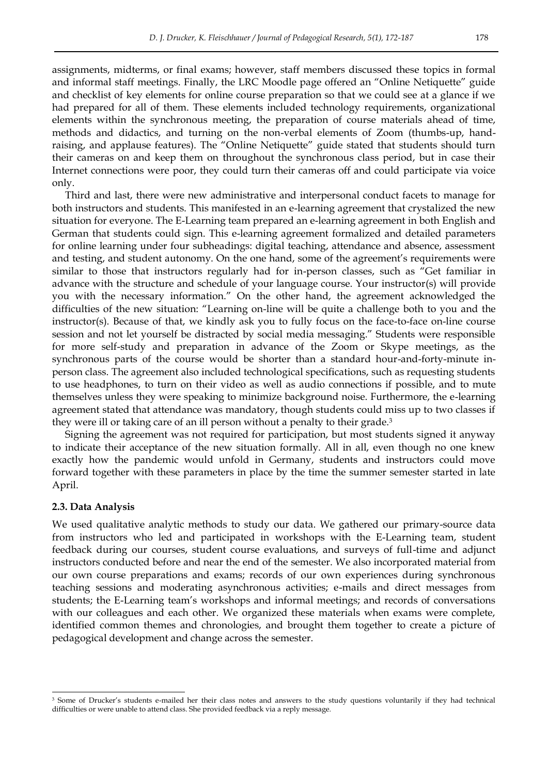assignments, midterms, or final exams; however, staff members discussed these topics in formal and informal staff meetings. Finally, the LRC Moodle page offered an "Online Netiquette" guide and checklist of key elements for online course preparation so that we could see at a glance if we had prepared for all of them. These elements included technology requirements, organizational elements within the synchronous meeting, the preparation of course materials ahead of time, methods and didactics, and turning on the non-verbal elements of Zoom (thumbs-up, handraising, and applause features). The "Online Netiquette" guide stated that students should turn their cameras on and keep them on throughout the synchronous class period, but in case their Internet connections were poor, they could turn their cameras off and could participate via voice only.

Third and last, there were new administrative and interpersonal conduct facets to manage for both instructors and students. This manifested in an e-learning agreement that crystalized the new situation for everyone. The E-Learning team prepared an e-learning agreement in both English and German that students could sign. This e-learning agreement formalized and detailed parameters for online learning under four subheadings: digital teaching, attendance and absence, assessment and testing, and student autonomy. On the one hand, some of the agreement's requirements were similar to those that instructors regularly had for in-person classes, such as "Get familiar in advance with the structure and schedule of your language course. Your instructor(s) will provide you with the necessary information." On the other hand, the agreement acknowledged the difficulties of the new situation: "Learning on-line will be quite a challenge both to you and the instructor(s). Because of that, we kindly ask you to fully focus on the face-to-face on-line course session and not let yourself be distracted by social media messaging." Students were responsible for more self-study and preparation in advance of the Zoom or Skype meetings, as the synchronous parts of the course would be shorter than a standard hour-and-forty-minute inperson class. The agreement also included technological specifications, such as requesting students to use headphones, to turn on their video as well as audio connections if possible, and to mute themselves unless they were speaking to minimize background noise. Furthermore, the e-learning agreement stated that attendance was mandatory, though students could miss up to two classes if they were ill or taking care of an ill person without a penalty to their grade.<sup>3</sup>

Signing the agreement was not required for participation, but most students signed it anyway to indicate their acceptance of the new situation formally. All in all, even though no one knew exactly how the pandemic would unfold in Germany, students and instructors could move forward together with these parameters in place by the time the summer semester started in late April.

#### **2.3. Data Analysis**

-

We used qualitative analytic methods to study our data. We gathered our primary-source data from instructors who led and participated in workshops with the E-Learning team, student feedback during our courses, student course evaluations, and surveys of full-time and adjunct instructors conducted before and near the end of the semester. We also incorporated material from our own course preparations and exams; records of our own experiences during synchronous teaching sessions and moderating asynchronous activities; e-mails and direct messages from students; the E-Learning team's workshops and informal meetings; and records of conversations with our colleagues and each other. We organized these materials when exams were complete, identified common themes and chronologies, and brought them together to create a picture of pedagogical development and change across the semester.

<sup>&</sup>lt;sup>3</sup> Some of Drucker's students e-mailed her their class notes and answers to the study questions voluntarily if they had technical difficulties or were unable to attend class. She provided feedback via a reply message.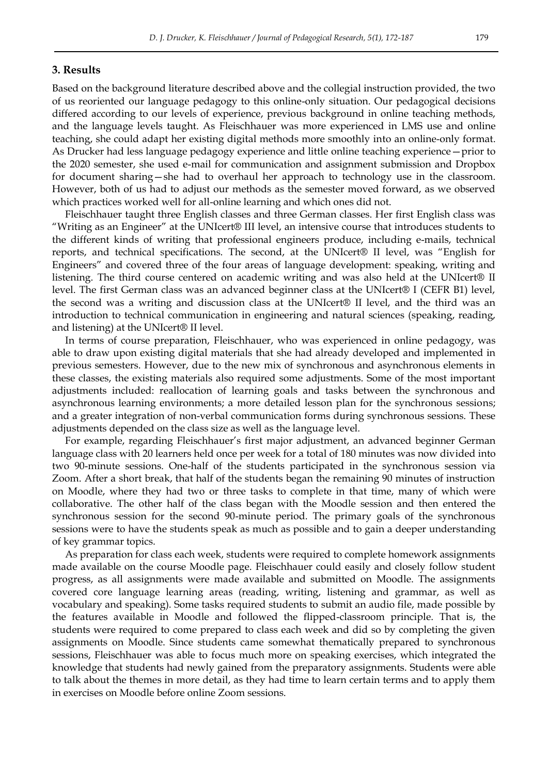### **3. Results**

Based on the background literature described above and the collegial instruction provided, the two of us reoriented our language pedagogy to this online-only situation. Our pedagogical decisions differed according to our levels of experience, previous background in online teaching methods, and the language levels taught. As Fleischhauer was more experienced in LMS use and online teaching, she could adapt her existing digital methods more smoothly into an online-only format. As Drucker had less language pedagogy experience and little online teaching experience—prior to the 2020 semester, she used e-mail for communication and assignment submission and Dropbox for document sharing—she had to overhaul her approach to technology use in the classroom. However, both of us had to adjust our methods as the semester moved forward, as we observed which practices worked well for all-online learning and which ones did not.

Fleischhauer taught three English classes and three German classes. Her first English class was ―Writing as an Engineer‖ at the UNIcert® III level, an intensive course that introduces students to the different kinds of writing that professional engineers produce, including e-mails, technical reports, and technical specifications. The second, at the UNIcert<sup>®</sup> II level, was "English for Engineers" and covered three of the four areas of language development: speaking, writing and listening. The third course centered on academic writing and was also held at the UNIcert® II level. The first German class was an advanced beginner class at the UNIcert® I (CEFR B1) level, the second was a writing and discussion class at the UNIcert® II level, and the third was an introduction to technical communication in engineering and natural sciences (speaking, reading, and listening) at the UNIcert® II level.

In terms of course preparation, Fleischhauer, who was experienced in online pedagogy, was able to draw upon existing digital materials that she had already developed and implemented in previous semesters. However, due to the new mix of synchronous and asynchronous elements in these classes, the existing materials also required some adjustments. Some of the most important adjustments included: reallocation of learning goals and tasks between the synchronous and asynchronous learning environments; a more detailed lesson plan for the synchronous sessions; and a greater integration of non-verbal communication forms during synchronous sessions. These adjustments depended on the class size as well as the language level.

For example, regarding Fleischhauer's first major adjustment, an advanced beginner German language class with 20 learners held once per week for a total of 180 minutes was now divided into two 90-minute sessions. One-half of the students participated in the synchronous session via Zoom. After a short break, that half of the students began the remaining 90 minutes of instruction on Moodle, where they had two or three tasks to complete in that time, many of which were collaborative. The other half of the class began with the Moodle session and then entered the synchronous session for the second 90-minute period. The primary goals of the synchronous sessions were to have the students speak as much as possible and to gain a deeper understanding of key grammar topics.

As preparation for class each week, students were required to complete homework assignments made available on the course Moodle page. Fleischhauer could easily and closely follow student progress, as all assignments were made available and submitted on Moodle. The assignments covered core language learning areas (reading, writing, listening and grammar, as well as vocabulary and speaking). Some tasks required students to submit an audio file, made possible by the features available in Moodle and followed the flipped-classroom principle. That is, the students were required to come prepared to class each week and did so by completing the given assignments on Moodle. Since students came somewhat thematically prepared to synchronous sessions, Fleischhauer was able to focus much more on speaking exercises, which integrated the knowledge that students had newly gained from the preparatory assignments. Students were able to talk about the themes in more detail, as they had time to learn certain terms and to apply them in exercises on Moodle before online Zoom sessions.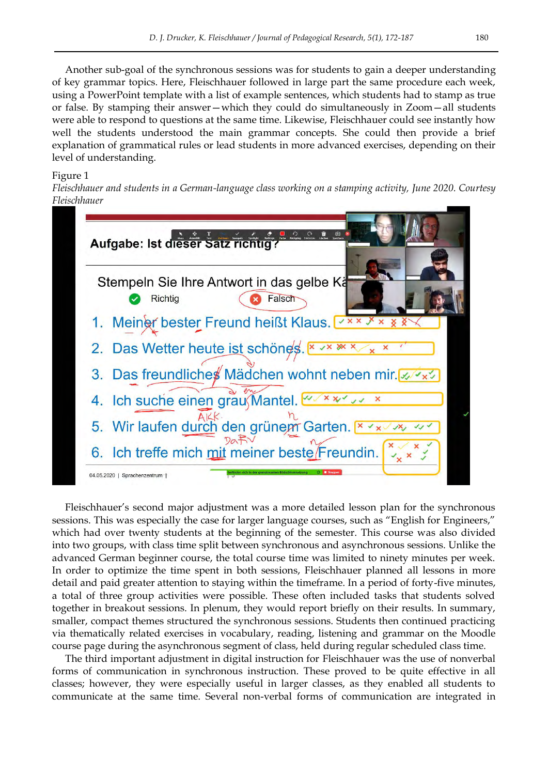Another sub-goal of the synchronous sessions was for students to gain a deeper understanding of key grammar topics. Here, Fleischhauer followed in large part the same procedure each week, using a PowerPoint template with a list of example sentences, which students had to stamp as true or false. By stamping their answer—which they could do simultaneously in Zoom—all students were able to respond to questions at the same time. Likewise, Fleischhauer could see instantly how well the students understood the main grammar concepts. She could then provide a brief explanation of grammatical rules or lead students in more advanced exercises, depending on their level of understanding.

## Figure 1

*Fleischhauer and students in a German-language class working on a stamping activity, June 2020. Courtesy Fleischhauer*



Fleischhauer's second major adjustment was a more detailed lesson plan for the synchronous sessions. This was especially the case for larger language courses, such as "English for Engineers," which had over twenty students at the beginning of the semester. This course was also divided into two groups, with class time split between synchronous and asynchronous sessions. Unlike the advanced German beginner course, the total course time was limited to ninety minutes per week. In order to optimize the time spent in both sessions, Fleischhauer planned all lessons in more detail and paid greater attention to staying within the timeframe. In a period of forty-five minutes, a total of three group activities were possible. These often included tasks that students solved together in breakout sessions. In plenum, they would report briefly on their results. In summary, smaller, compact themes structured the synchronous sessions. Students then continued practicing via thematically related exercises in vocabulary, reading, listening and grammar on the Moodle course page during the asynchronous segment of class, held during regular scheduled class time.

The third important adjustment in digital instruction for Fleischhauer was the use of nonverbal forms of communication in synchronous instruction. These proved to be quite effective in all classes; however, they were especially useful in larger classes, as they enabled all students to communicate at the same time. Several non-verbal forms of communication are integrated in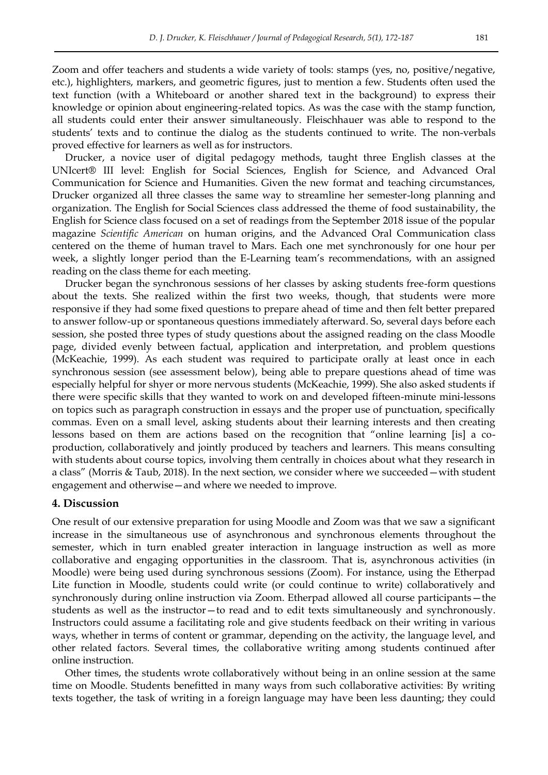Zoom and offer teachers and students a wide variety of tools: stamps (yes, no, positive/negative, etc.), highlighters, markers, and geometric figures, just to mention a few. Students often used the text function (with a Whiteboard or another shared text in the background) to express their knowledge or opinion about engineering-related topics. As was the case with the stamp function, all students could enter their answer simultaneously. Fleischhauer was able to respond to the students' texts and to continue the dialog as the students continued to write. The non-verbals proved effective for learners as well as for instructors.

Drucker, a novice user of digital pedagogy methods, taught three English classes at the UNIcert® III level: English for Social Sciences, English for Science, and Advanced Oral Communication for Science and Humanities. Given the new format and teaching circumstances, Drucker organized all three classes the same way to streamline her semester-long planning and organization. The English for Social Sciences class addressed the theme of food sustainability, the English for Science class focused on a set of readings from the September 2018 issue of the popular magazine *Scientific American* on human origins, and the Advanced Oral Communication class centered on the theme of human travel to Mars. Each one met synchronously for one hour per week, a slightly longer period than the E-Learning team's recommendations, with an assigned reading on the class theme for each meeting.

Drucker began the synchronous sessions of her classes by asking students free-form questions about the texts. She realized within the first two weeks, though, that students were more responsive if they had some fixed questions to prepare ahead of time and then felt better prepared to answer follow-up or spontaneous questions immediately afterward. So, several days before each session, she posted three types of study questions about the assigned reading on the class Moodle page, divided evenly between factual, application and interpretation, and problem questions (McKeachie, 1999). As each student was required to participate orally at least once in each synchronous session (see assessment below), being able to prepare questions ahead of time was especially helpful for shyer or more nervous students (McKeachie, 1999). She also asked students if there were specific skills that they wanted to work on and developed fifteen-minute mini-lessons on topics such as paragraph construction in essays and the proper use of punctuation, specifically commas. Even on a small level, asking students about their learning interests and then creating lessons based on them are actions based on the recognition that "online learning [is] a coproduction, collaboratively and jointly produced by teachers and learners. This means consulting with students about course topics, involving them centrally in choices about what they research in a class" (Morris & Taub, 2018). In the next section, we consider where we succeeded – with student engagement and otherwise—and where we needed to improve.

# **4. Discussion**

One result of our extensive preparation for using Moodle and Zoom was that we saw a significant increase in the simultaneous use of asynchronous and synchronous elements throughout the semester, which in turn enabled greater interaction in language instruction as well as more collaborative and engaging opportunities in the classroom. That is, asynchronous activities (in Moodle) were being used during synchronous sessions (Zoom). For instance, using the Etherpad Lite function in Moodle, students could write (or could continue to write) collaboratively and synchronously during online instruction via Zoom. Etherpad allowed all course participants—the students as well as the instructor—to read and to edit texts simultaneously and synchronously. Instructors could assume a facilitating role and give students feedback on their writing in various ways, whether in terms of content or grammar, depending on the activity, the language level, and other related factors. Several times, the collaborative writing among students continued after online instruction.

Other times, the students wrote collaboratively without being in an online session at the same time on Moodle. Students benefitted in many ways from such collaborative activities: By writing texts together, the task of writing in a foreign language may have been less daunting; they could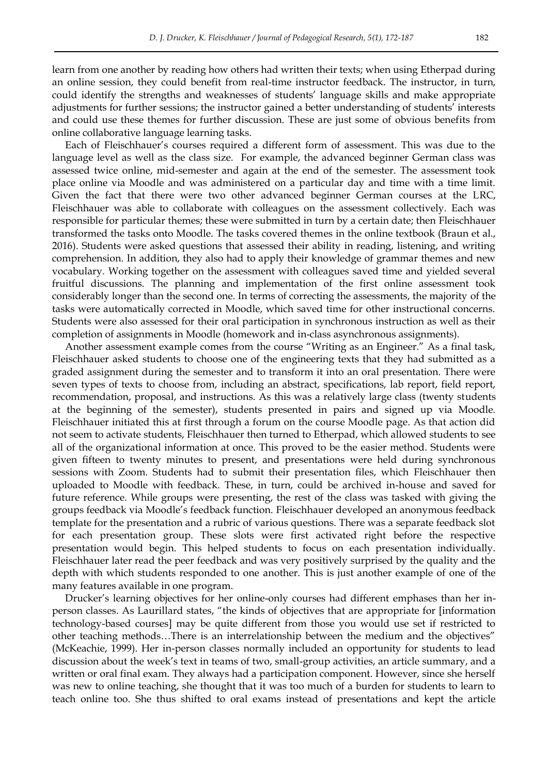learn from one another by reading how others had written their texts; when using Etherpad during an online session, they could benefit from real-time instructor feedback. The instructor, in turn, could identify the strengths and weaknesses of students' language skills and make appropriate adjustments for further sessions; the instructor gained a better understanding of students' interests and could use these themes for further discussion. These are just some of obvious benefits from online collaborative language learning tasks.

Each of Fleischhauer's courses required a different form of assessment. This was due to the language level as well as the class size. For example, the advanced beginner German class was assessed twice online, mid-semester and again at the end of the semester. The assessment took place online via Moodle and was administered on a particular day and time with a time limit. Given the fact that there were two other advanced beginner German courses at the LRC, Fleischhauer was able to collaborate with colleagues on the assessment collectively. Each was responsible for particular themes; these were submitted in turn by a certain date; then Fleischhauer transformed the tasks onto Moodle. The tasks covered themes in the online textbook (Braun et al., 2016). Students were asked questions that assessed their ability in reading, listening, and writing comprehension. In addition, they also had to apply their knowledge of grammar themes and new vocabulary. Working together on the assessment with colleagues saved time and yielded several fruitful discussions. The planning and implementation of the first online assessment took considerably longer than the second one. In terms of correcting the assessments, the majority of the tasks were automatically corrected in Moodle, which saved time for other instructional concerns. Students were also assessed for their oral participation in synchronous instruction as well as their completion of assignments in Moodle (homework and in-class asynchronous assignments).

Another assessment example comes from the course "Writing as an Engineer." As a final task, Fleischhauer asked students to choose one of the engineering texts that they had submitted as a graded assignment during the semester and to transform it into an oral presentation. There were seven types of texts to choose from, including an abstract, specifications, lab report, field report, recommendation, proposal, and instructions. As this was a relatively large class (twenty students at the beginning of the semester), students presented in pairs and signed up via Moodle. Fleischhauer initiated this at first through a forum on the course Moodle page. As that action did not seem to activate students, Fleischhauer then turned to Etherpad, which allowed students to see all of the organizational information at once. This proved to be the easier method. Students were given fifteen to twenty minutes to present, and presentations were held during synchronous sessions with Zoom. Students had to submit their presentation files, which Fleischhauer then uploaded to Moodle with feedback. These, in turn, could be archived in-house and saved for future reference. While groups were presenting, the rest of the class was tasked with giving the groups feedback via Moodle's feedback function. Fleischhauer developed an anonymous feedback template for the presentation and a rubric of various questions. There was a separate feedback slot for each presentation group. These slots were first activated right before the respective presentation would begin. This helped students to focus on each presentation individually. Fleischhauer later read the peer feedback and was very positively surprised by the quality and the depth with which students responded to one another. This is just another example of one of the many features available in one program.

Drucker's learning objectives for her online-only courses had different emphases than her inperson classes. As Laurillard states, "the kinds of objectives that are appropriate for [information technology-based courses] may be quite different from those you would use set if restricted to other teaching methods...There is an interrelationship between the medium and the objectives" (McKeachie, 1999). Her in-person classes normally included an opportunity for students to lead discussion about the week's text in teams of two, small-group activities, an article summary, and a written or oral final exam. They always had a participation component. However, since she herself was new to online teaching, she thought that it was too much of a burden for students to learn to teach online too. She thus shifted to oral exams instead of presentations and kept the article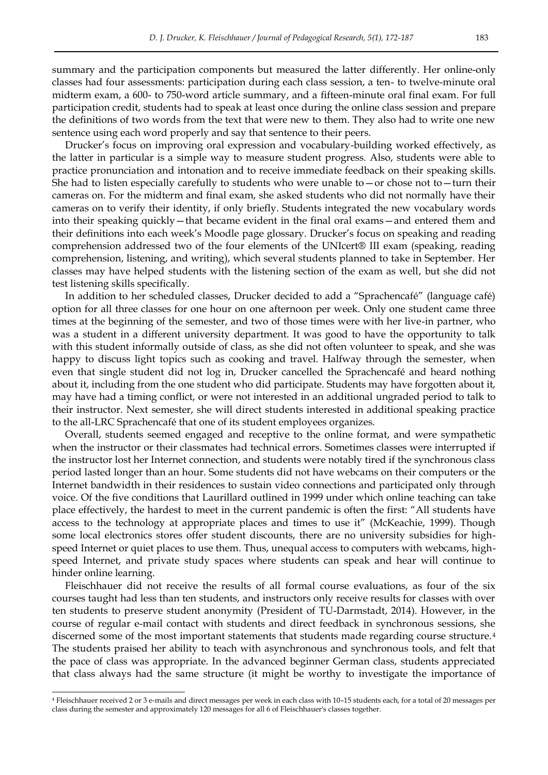summary and the participation components but measured the latter differently. Her online-only classes had four assessments: participation during each class session, a ten- to twelve-minute oral midterm exam, a 600- to 750-word article summary, and a fifteen-minute oral final exam. For full participation credit, students had to speak at least once during the online class session and prepare the definitions of two words from the text that were new to them. They also had to write one new sentence using each word properly and say that sentence to their peers.

Drucker's focus on improving oral expression and vocabulary-building worked effectively, as the latter in particular is a simple way to measure student progress. Also, students were able to practice pronunciation and intonation and to receive immediate feedback on their speaking skills. She had to listen especially carefully to students who were unable to  $-$  or chose not to  $-$  turn their cameras on. For the midterm and final exam, she asked students who did not normally have their cameras on to verify their identity, if only briefly. Students integrated the new vocabulary words into their speaking quickly—that became evident in the final oral exams—and entered them and their definitions into each week's Moodle page glossary. Drucker's focus on speaking and reading comprehension addressed two of the four elements of the UNIcert® III exam (speaking, reading comprehension, listening, and writing), which several students planned to take in September. Her classes may have helped students with the listening section of the exam as well, but she did not test listening skills specifically.

In addition to her scheduled classes, Drucker decided to add a "Sprachencafé" (language café) option for all three classes for one hour on one afternoon per week. Only one student came three times at the beginning of the semester, and two of those times were with her live-in partner, who was a student in a different university department. It was good to have the opportunity to talk with this student informally outside of class, as she did not often volunteer to speak, and she was happy to discuss light topics such as cooking and travel. Halfway through the semester, when even that single student did not log in, Drucker cancelled the Sprachencafé and heard nothing about it, including from the one student who did participate. Students may have forgotten about it, may have had a timing conflict, or were not interested in an additional ungraded period to talk to their instructor. Next semester, she will direct students interested in additional speaking practice to the all-LRC Sprachencafé that one of its student employees organizes.

Overall, students seemed engaged and receptive to the online format, and were sympathetic when the instructor or their classmates had technical errors. Sometimes classes were interrupted if the instructor lost her Internet connection, and students were notably tired if the synchronous class period lasted longer than an hour. Some students did not have webcams on their computers or the Internet bandwidth in their residences to sustain video connections and participated only through voice. Of the five conditions that Laurillard outlined in 1999 under which online teaching can take place effectively, the hardest to meet in the current pandemic is often the first: "All students have access to the technology at appropriate places and times to use it" (McKeachie, 1999). Though some local electronics stores offer student discounts, there are no university subsidies for highspeed Internet or quiet places to use them. Thus, unequal access to computers with webcams, highspeed Internet, and private study spaces where students can speak and hear will continue to hinder online learning.

Fleischhauer did not receive the results of all formal course evaluations, as four of the six courses taught had less than ten students, and instructors only receive results for classes with over ten students to preserve student anonymity (President of TU-Darmstadt, 2014). However, in the course of regular e-mail contact with students and direct feedback in synchronous sessions, she discerned some of the most important statements that students made regarding course structure.<sup>4</sup> The students praised her ability to teach with asynchronous and synchronous tools, and felt that the pace of class was appropriate. In the advanced beginner German class, students appreciated that class always had the same structure (it might be worthy to investigate the importance of

-

<sup>4</sup> Fleischhauer received 2 or 3 e-mails and direct messages per week in each class with 10–15 students each, for a total of 20 messages per class during the semester and approximately 120 messages for all 6 of Fleischhauer's classes together.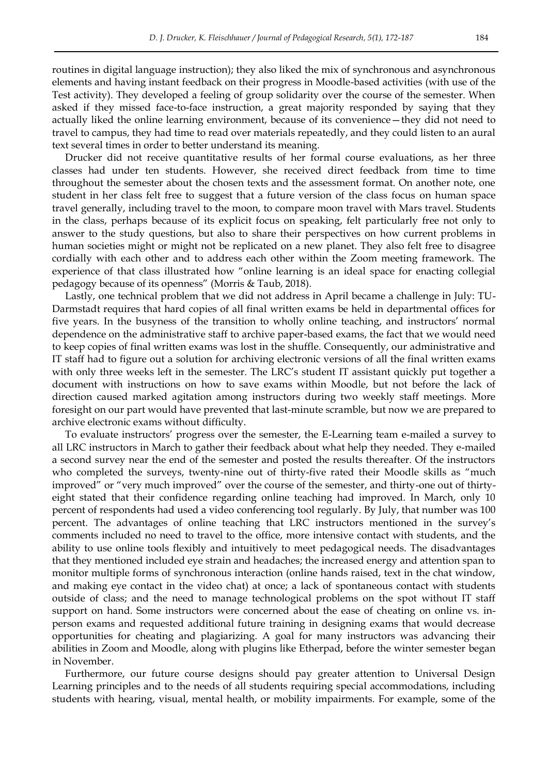routines in digital language instruction); they also liked the mix of synchronous and asynchronous elements and having instant feedback on their progress in Moodle-based activities (with use of the Test activity). They developed a feeling of group solidarity over the course of the semester. When asked if they missed face-to-face instruction, a great majority responded by saying that they actually liked the online learning environment, because of its convenience—they did not need to travel to campus, they had time to read over materials repeatedly, and they could listen to an aural text several times in order to better understand its meaning.

Drucker did not receive quantitative results of her formal course evaluations, as her three classes had under ten students. However, she received direct feedback from time to time throughout the semester about the chosen texts and the assessment format. On another note, one student in her class felt free to suggest that a future version of the class focus on human space travel generally, including travel to the moon, to compare moon travel with Mars travel. Students in the class, perhaps because of its explicit focus on speaking, felt particularly free not only to answer to the study questions, but also to share their perspectives on how current problems in human societies might or might not be replicated on a new planet. They also felt free to disagree cordially with each other and to address each other within the Zoom meeting framework. The experience of that class illustrated how "online learning is an ideal space for enacting collegial pedagogy because of its openness‖ (Morris & Taub, 2018).

Lastly, one technical problem that we did not address in April became a challenge in July: TU-Darmstadt requires that hard copies of all final written exams be held in departmental offices for five years. In the busyness of the transition to wholly online teaching, and instructors' normal dependence on the administrative staff to archive paper-based exams, the fact that we would need to keep copies of final written exams was lost in the shuffle. Consequently, our administrative and IT staff had to figure out a solution for archiving electronic versions of all the final written exams with only three weeks left in the semester. The LRC's student IT assistant quickly put together a document with instructions on how to save exams within Moodle, but not before the lack of direction caused marked agitation among instructors during two weekly staff meetings. More foresight on our part would have prevented that last-minute scramble, but now we are prepared to archive electronic exams without difficulty.

To evaluate instructors' progress over the semester, the E-Learning team e-mailed a survey to all LRC instructors in March to gather their feedback about what help they needed. They e-mailed a second survey near the end of the semester and posted the results thereafter. Of the instructors who completed the surveys, twenty-nine out of thirty-five rated their Moodle skills as "much improved" or "very much improved" over the course of the semester, and thirty-one out of thirtyeight stated that their confidence regarding online teaching had improved. In March, only 10 percent of respondents had used a video conferencing tool regularly. By July, that number was 100 percent. The advantages of online teaching that LRC instructors mentioned in the survey's comments included no need to travel to the office, more intensive contact with students, and the ability to use online tools flexibly and intuitively to meet pedagogical needs. The disadvantages that they mentioned included eye strain and headaches; the increased energy and attention span to monitor multiple forms of synchronous interaction (online hands raised, text in the chat window, and making eye contact in the video chat) at once; a lack of spontaneous contact with students outside of class; and the need to manage technological problems on the spot without IT staff support on hand. Some instructors were concerned about the ease of cheating on online vs. inperson exams and requested additional future training in designing exams that would decrease opportunities for cheating and plagiarizing. A goal for many instructors was advancing their abilities in Zoom and Moodle, along with plugins like Etherpad, before the winter semester began in November.

Furthermore, our future course designs should pay greater attention to Universal Design Learning principles and to the needs of all students requiring special accommodations, including students with hearing, visual, mental health, or mobility impairments. For example, some of the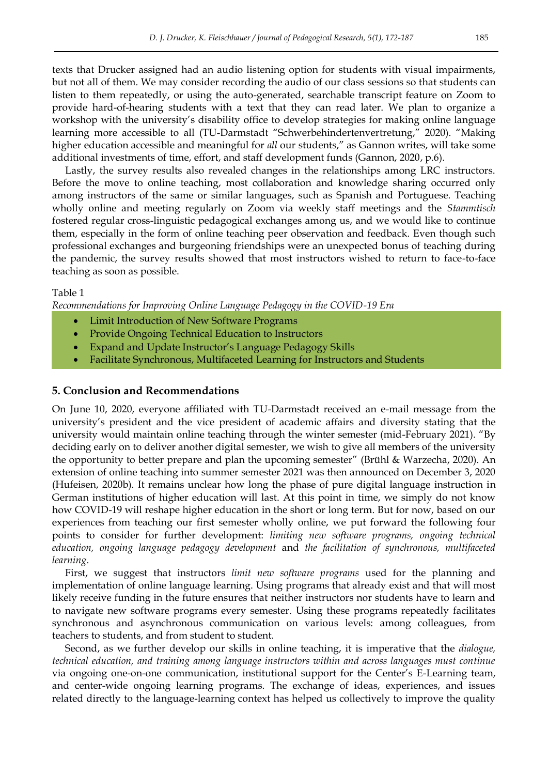texts that Drucker assigned had an audio listening option for students with visual impairments, but not all of them. We may consider recording the audio of our class sessions so that students can listen to them repeatedly, or using the auto-generated, searchable transcript feature on Zoom to provide hard-of-hearing students with a text that they can read later. We plan to organize a workshop with the university's disability office to develop strategies for making online language learning more accessible to all (TU-Darmstadt "Schwerbehindertenvertretung," 2020). "Making higher education accessible and meaningful for *all* our students," as Gannon writes, will take some additional investments of time, effort, and staff development funds (Gannon, 2020, p.6).

Lastly, the survey results also revealed changes in the relationships among LRC instructors. Before the move to online teaching, most collaboration and knowledge sharing occurred only among instructors of the same or similar languages, such as Spanish and Portuguese. Teaching wholly online and meeting regularly on Zoom via weekly staff meetings and the *Stammtisch*  fostered regular cross-linguistic pedagogical exchanges among us, and we would like to continue them, especially in the form of online teaching peer observation and feedback. Even though such professional exchanges and burgeoning friendships were an unexpected bonus of teaching during the pandemic, the survey results showed that most instructors wished to return to face-to-face teaching as soon as possible.

#### Table 1

*Recommendations for Improving Online Language Pedagogy in the COVID-19 Era* 

- Limit Introduction of New Software Programs
- Provide Ongoing Technical Education to Instructors
- Expand and Update Instructor's Language Pedagogy Skills
- Facilitate Synchronous, Multifaceted Learning for Instructors and Students

### **5. Conclusion and Recommendations**

On June 10, 2020, everyone affiliated with TU-Darmstadt received an e-mail message from the university's president and the vice president of academic affairs and diversity stating that the university would maintain online teaching through the winter semester (mid-February 2021). "By deciding early on to deliver another digital semester, we wish to give all members of the university the opportunity to better prepare and plan the upcoming semester" (Brühl & Warzecha, 2020). An extension of online teaching into summer semester 2021 was then announced on December 3, 2020 (Hufeisen, 2020b). It remains unclear how long the phase of pure digital language instruction in German institutions of higher education will last. At this point in time, we simply do not know how COVID-19 will reshape higher education in the short or long term. But for now, based on our experiences from teaching our first semester wholly online, we put forward the following four points to consider for further development: *limiting new software programs, ongoing technical education, ongoing language pedagogy development* and *the facilitation of synchronous, multifaceted learning*.

First, we suggest that instructors *limit new software programs* used for the planning and implementation of online language learning. Using programs that already exist and that will most likely receive funding in the future ensures that neither instructors nor students have to learn and to navigate new software programs every semester. Using these programs repeatedly facilitates synchronous and asynchronous communication on various levels: among colleagues, from teachers to students, and from student to student.

Second, as we further develop our skills in online teaching, it is imperative that the *dialogue, technical education, and training among language instructors within and across languages must continue* via ongoing one-on-one communication, institutional support for the Center's E-Learning team, and center-wide ongoing learning programs. The exchange of ideas, experiences, and issues related directly to the language-learning context has helped us collectively to improve the quality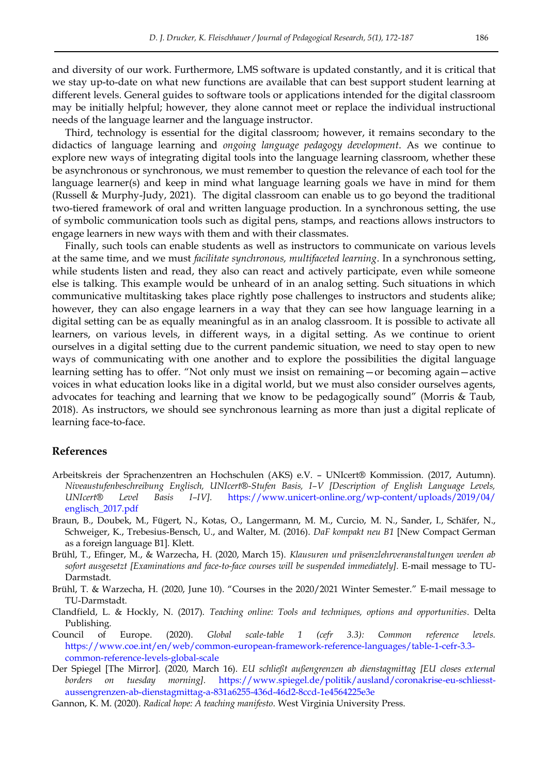and diversity of our work. Furthermore, LMS software is updated constantly, and it is critical that we stay up-to-date on what new functions are available that can best support student learning at different levels. General guides to software tools or applications intended for the digital classroom may be initially helpful; however, they alone cannot meet or replace the individual instructional needs of the language learner and the language instructor.

Third, technology is essential for the digital classroom; however, it remains secondary to the didactics of language learning and *ongoing language pedagogy development*. As we continue to explore new ways of integrating digital tools into the language learning classroom, whether these be asynchronous or synchronous, we must remember to question the relevance of each tool for the language learner(s) and keep in mind what language learning goals we have in mind for them (Russell & Murphy-Judy, 2021). The digital classroom can enable us to go beyond the traditional two-tiered framework of oral and written language production. In a synchronous setting, the use of symbolic communication tools such as digital pens, stamps, and reactions allows instructors to engage learners in new ways with them and with their classmates.

Finally, such tools can enable students as well as instructors to communicate on various levels at the same time, and we must *facilitate synchronous, multifaceted learning*. In a synchronous setting, while students listen and read, they also can react and actively participate, even while someone else is talking. This example would be unheard of in an analog setting. Such situations in which communicative multitasking takes place rightly pose challenges to instructors and students alike; however, they can also engage learners in a way that they can see how language learning in a digital setting can be as equally meaningful as in an analog classroom. It is possible to activate all learners, on various levels, in different ways, in a digital setting. As we continue to orient ourselves in a digital setting due to the current pandemic situation, we need to stay open to new ways of communicating with one another and to explore the possibilities the digital language learning setting has to offer. "Not only must we insist on remaining - or becoming again - active voices in what education looks like in a digital world, but we must also consider ourselves agents, advocates for teaching and learning that we know to be pedagogically sound" (Morris  $\&$  Taub, 2018). As instructors, we should see synchronous learning as more than just a digital replicate of learning face-to-face.

#### **References**

- Arbeitskreis der Sprachenzentren an Hochschulen (AKS) e.V. UNIcert® Kommission. (2017, Autumn). *Niveaustufenbeschreibung Englisch, UNIcert®-Stufen Basis, I–V [Description of English Language Levels, UNIcert® Level Basis I–IV].* [https://www.unicert-online.org/wp-content/uploads/2019/04/](https://www.unicert-online.org/wp-content/uploads/2019/04/%20englisch_2017.pdf)  [englisch\\_2017.pdf](https://www.unicert-online.org/wp-content/uploads/2019/04/%20englisch_2017.pdf)
- Braun, B., Doubek, M., Fügert, N., Kotas, O., Langermann, M. M., Curcio, M. N., Sander, I., Schäfer, N., Schweiger, K., Trebesius-Bensch, U., and Walter, M. (2016). *DaF kompakt neu B1* [New Compact German as a foreign language B1]. Klett.
- Brühl, T., Efinger, M., & Warzecha, H. (2020, March 15). *Klausuren und präsenzlehrveranstaltungen werden ab sofort ausgesetzt [Examinations and face-to-face courses will be suspended immediately].* E-mail message to TU-Darmstadt.
- Brühl, T. & Warzecha, H. (2020, June 10). "Courses in the 2020/2021 Winter Semester." E-mail message to TU-Darmstadt.
- Clandfield, L. & Hockly, N. (2017). *Teaching online: Tools and techniques, options and opportunities*. Delta Publishing.
- Council of Europe. (2020). *Global scale-table 1 (cefr 3.3): Common reference levels.*  [https://www.coe.int/en/web/common-european-framework-reference-languages/table-1-cefr-3.3](https://www.coe.int/en/web/common-european-framework-reference-languages/table-1-cefr-3.3-common-reference-levels-global-scale) [common-reference-levels-global-scale](https://www.coe.int/en/web/common-european-framework-reference-languages/table-1-cefr-3.3-common-reference-levels-global-scale)
- Der Spiegel [The Mirror]. (2020, March 16). *EU schließt außengrenzen ab dienstagmittag [EU closes external borders on tuesday morning].* [https://www.spiegel.de/politik/ausland/coronakrise-eu-schliesst](https://www.spiegel.de/politik/ausland/coronakrise-eu-schliesst-aussengrenzen-ab-dienstagmittag-a-831a6255-436d-46d2-8ccd-1e4564225e3e)[aussengrenzen-ab-dienstagmittag-a-831a6255-436d-46d2-8ccd-1e4564225e3e](https://www.spiegel.de/politik/ausland/coronakrise-eu-schliesst-aussengrenzen-ab-dienstagmittag-a-831a6255-436d-46d2-8ccd-1e4564225e3e)
- Gannon, K. M. (2020). *Radical hope: A teaching manifesto*. West Virginia University Press.